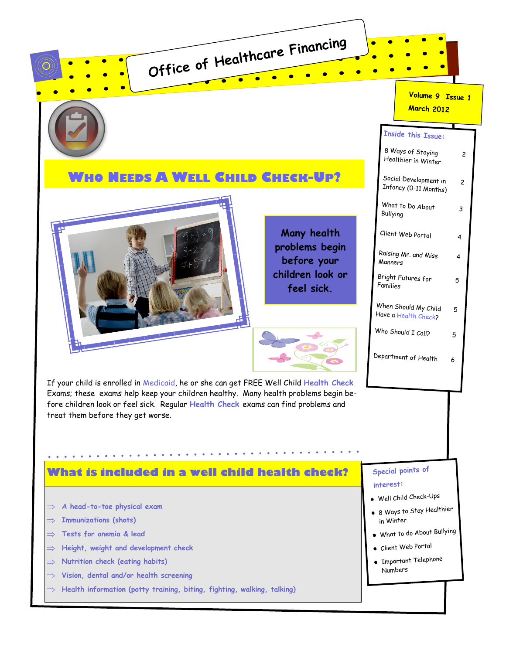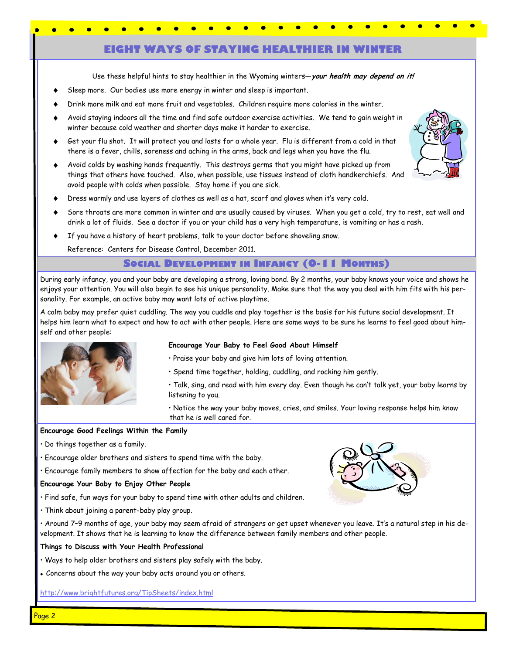# **EIGHT WAYS OF STAYING HEALTHIER IN WINTER**

Use these helpful hints to stay healthier in the Wyoming winters—**your health may depend on it!**

- Sleep more. Our bodies use more energy in winter and sleep is important.
- Drink more milk and eat more fruit and vegetables. Children require more calories in the winter.
- Avoid staying indoors all the time and find safe outdoor exercise activities. We tend to gain weight in winter because cold weather and shorter days make it harder to exercise.
- Get your flu shot. It will protect you and lasts for a whole year. Flu is different from a cold in that there is a fever, chills, soreness and aching in the arms, back and legs when you have the flu.
- Avoid colds by washing hands frequently. This destroys germs that you might have picked up from things that others have touched. Also, when possible, use tissues instead of cloth handkerchiefs. And avoid people with colds when possible. Stay home if you are sick.
- Dress warmly and use layers of clothes as well as a hat, scarf and gloves when it's very cold.
- Sore throats are more common in winter and are usually caused by viruses. When you get a cold, try to rest, eat well and drink a lot of fluids. See a doctor if you or your child has a very high temperature, is vomiting or has a rash.
- If you have a history of heart problems, talk to your doctor before shoveling snow.

Reference: Centers for Disease Control, December 2011.

#### **SOCIAL DEVELOPMENT IN INFANCY (0-11 MONTHS)**

During early infancy, you and your baby are developing a strong, loving bond. By 2 months, your baby knows your voice and shows he enjoys your attention. You will also begin to see his unique personality. Make sure that the way you deal with him fits with his personality. For example, an active baby may want lots of active playtime.

A calm baby may prefer quiet cuddling. The way you cuddle and play together is the basis for his future social development. It helps him learn what to expect and how to act with other people. Here are some ways to be sure he learns to feel good about himself and other people:



#### **Encourage Your Baby to Feel Good About Himself**

- Praise your baby and give him lots of loving attention.
- Spend time together, holding, cuddling, and rocking him gently.
- Talk, sing, and read with him every day. Even though he can't talk yet, your baby learns by listening to you.

• Notice the way your baby moves, cries, and smiles. Your loving response helps him know that he is well cared for.

#### **Encourage Good Feelings Within the Family**

- Do things together as a family.
- Encourage older brothers and sisters to spend time with the baby.
- Encourage family members to show affection for the baby and each other.

#### **Encourage Your Baby to Enjoy Other People**

- Find safe, fun ways for your baby to spend time with other adults and children.
- Think about joining a parent-baby play group.

• Around 7–9 months of age, your baby may seem afraid of strangers or get upset whenever you leave. It's a natural step in his development. It shows that he is learning to know the difference between family members and other people.

#### **Things to Discuss with Your Health Professional**

- Ways to help older brothers and sisters play safely with the baby.
- Concerns about the way your baby acts around you or others.

http://www.brightfutures.org/TipSheets/index.html



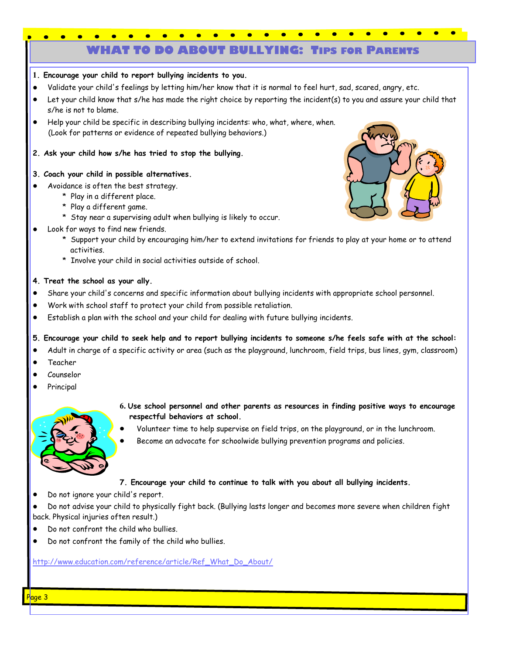# **WHAT TO DO ABOUT BULLYING: TIPS FOR PARENTS**



- **1. Encourage your child to report bullying incidents to you.**
- Validate your child's feelings by letting him/her know that it is normal to feel hurt, sad, scared, angry, etc.
- Let your child know that s/he has made the right choice by reporting the incident(s) to you and assure your child that s/he is not to blame.
- Help your child be specific in describing bullying incidents: who, what, where, when. (Look for patterns or evidence of repeated bullying behaviors.)
- **2. Ask your child how s/he has tried to stop the bullying.**
- **3. Coach your child in possible alternatives.**
- Avoidance is often the best strategy.
	- \* Play in a different place.
	- \* Play a different game.
	- \* Stay near a supervising adult when bullying is likely to occur.
	- Look for ways to find new friends.
		- \* Support your child by encouraging him/her to extend invitations for friends to play at your home or to attend activities.
		- \* Involve your child in social activities outside of school.

### **4. Treat the school as your ally.**

- Share your child's concerns and specific information about bullying incidents with appropriate school personnel.  $\bullet$
- Work with school staff to protect your child from possible retaliation.
- Establish a plan with the school and your child for dealing with future bullying incidents.  $\bullet$

### **5. Encourage your child to seek help and to report bullying incidents to someone s/he feels safe with at the school:**

- Adult in charge of a specific activity or area (such as the playground, lunchroom, field trips, bus lines, gym, classroom)  $\bullet$
- Teacher
- Counselor  $\bullet$
- Principal



- **6. Use school personnel and other parents as resources in finding positive ways to encourage respectful behaviors at school.**
- Volunteer time to help supervise on field trips, on the playground, or in the lunchroom.
- Become an advocate for schoolwide bullying prevention programs and policies.

#### **7. Encourage your child to continue to talk with you about all bullying incidents.**

 $\bullet$ Do not ignore your child's report.

Do not advise your child to physically fight back. (Bullying lasts longer and becomes more severe when children fight back. Physical injuries often result.)

- $\bullet$ Do not confront the child who bullies.
- Do not confront the family of the child who bullies.

[http://www.education.com/reference/article/Ref\\_What\\_Do\\_About/](http://www.education.com/reference/article/Ref_What_Do_About/)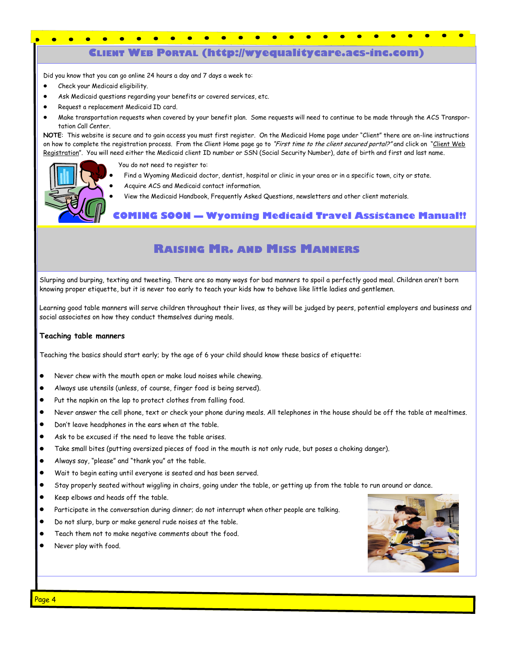# **CLIENT WEB PORTAL (http://wyequalitycare.acs-inc.com)**

Did you know that you can go online 24 hours a day and 7 days a week to:

- $\bullet$ Check your Medicaid eligibility.
- Ask Medicaid questions regarding your benefits or covered services, etc.
- Request a replacement Medicaid ID card.
- Make transportation requests when covered by your benefit plan. Some requests will need to continue to be made through the ACS Transportation Call Center.

**NOTE**: This website is secure and to gain access you must first register. On the Medicaid Home page under "Client" there are on-line instructions on how to complete the registration process. From the Client Home page go to "First time to the client secured portal?" and click on "Client Web Registration". You will need either the Medicaid client ID number or SSN (Social Security Number), date of birth and first and last name.

You do not need to register to:

- Find a Wyoming Medicaid doctor, dentist, hospital or clinic in your area or in a specific town, city or state.
- Acquire ACS and Medicaid contact information.
- View the Medicaid Handbook, Frequently Asked Questions, newsletters and other client materials.

**COMING SOON — Wyoming Medicaid Travel Assistance Manual!!**

# **RAISING MR. AND MISS MANNERS**

Slurping and burping, texting and tweeting. There are so many ways for bad manners to spoil a perfectly good meal. Children aren't born knowing proper etiquette, but it is never too early to teach your kids how to behave like little ladies and gentlemen.

Learning good table manners will serve children throughout their lives, as they will be judged by peers, potential employers and business and social associates on how they conduct themselves during meals.

#### **Teaching table manners**

Teaching the basics should start early; by the age of 6 your child should know these basics of etiquette:

- Never chew with the mouth open or make loud noises while chewing.
- Always use utensils (unless, of course, finger food is being served).
- Put the napkin on the lap to protect clothes from falling food.
- Never answer the cell phone, text or check your phone during meals. All telephones in the house should be off the table at mealtimes.
- Don't leave headphones in the ears when at the table.
- Ask to be excused if the need to leave the table arises.
- $\bullet$ Take small bites (putting oversized pieces of food in the mouth is not only rude, but poses a choking danger).
- Always say, "please" and "thank you" at the table.
- $\bullet$ Wait to begin eating until everyone is seated and has been served.
- $\bullet$ Stay properly seated without wiggling in chairs, going under the table, or getting up from the table to run around or dance.
- Keep elbows and heads off the table.
- $\bullet$ Participate in the conversation during dinner; do not interrupt when other people are talking.
- Do not slurp, burp or make general rude noises at the table.
- $\bullet$ Teach them not to make negative comments about the food.
- Never play with food.

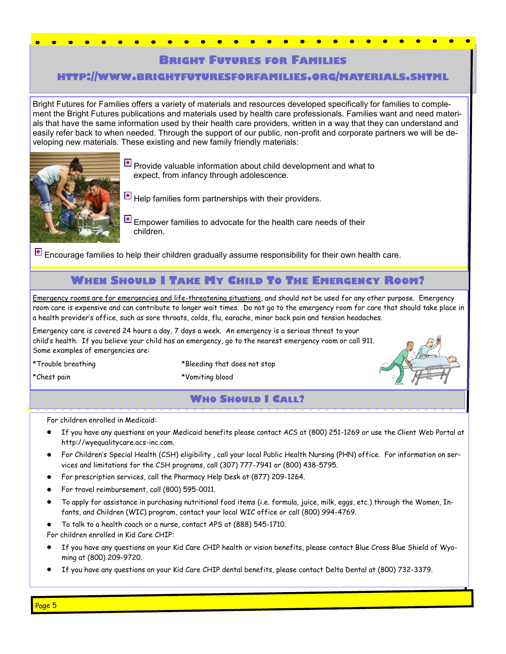# **BRIGHT FUTURES FOR FAMILIES**

### **HTTP://WWW.BRIGHTFUTURESFORFAMILIES.ORG/MATERIALS.SHTML**

Bright Futures for Families offers a variety of materials and resources developed specifically for families to complement the Bright Futures publications and materials used by health care professionals. Families want and need materials that have the same information used by their health care providers, written in a way that they can understand and easily refer back to when needed. Through the support of our public, non-profit and corporate partners we will be developing new materials. These existing and new family friendly materials:



**P** Provide valuable information about child development and what to expect, from infancy through adolescence.

 $\blacktriangle$  Help families form partnerships with their providers.

 $\Box$  Empower families to advocate for the health care needs of their children.

**E** Encourage families to help their children gradually assume responsibility for their own health care.

# **WHEN SHOULD I TAKE MY CHILD TO THE EMERGENCY ROOM?**

Emergency rooms are for emergencies and life-threatening situations, and should not be used for any other purpose. Emergency room care is expensive and can contribute to longer wait times. Do not go to the emergency room for care that should take place in a health provider's office, such as sore throats, colds, flu, earache, minor back pain and tension headaches.

Emergency care is covered 24 hours a day, 7 days a week. An emergency is a serious threat to your child's health. If you believe your child has an emergency, go to the nearest emergency room or call 911. Some examples of emergencies are:

\*Trouble breathing \*Bleeding that does not stop

\*Chest pain \*Vomiting blood

# **WHO SHOULD I CALL?**

For children enrolled in Medicaid:

- If you have any questions on your Medicaid benefits please contact ACS at (800) 251-1269 or use the Client Web Portal at http://wyequalitycare.acs-inc.com.
- For Children's Special Health (CSH) eligibility , call your local Public Health Nursing (PHN) office. For information on services and limitations for the CSH programs, call (307) 777-7941 or (800) 438-5795.
- For prescription services, call the Pharmacy Help Desk at (877) 209-1264.
- For travel reimbursement, call (800) 595-0011.
- To apply for assistance in purchasing nutritional food items (i.e. formula, juice, milk, eggs, etc.) through the Women, Infants, and Children (WIC) program, contact your local WIC office or call (800) 994-4769.
- To talk to a health coach or a nurse, contact APS at (888) 545-1710.

For children enrolled in Kid Care CHIP:

- If you have any questions on your Kid Care CHIP health or vision benefits, please contact Blue Cross Blue Shield of Wyoming at (800) 209-9720.
- If you have any questions on your Kid Care CHIP dental benefits, please contact Delta Dental at (800) 732-3379.